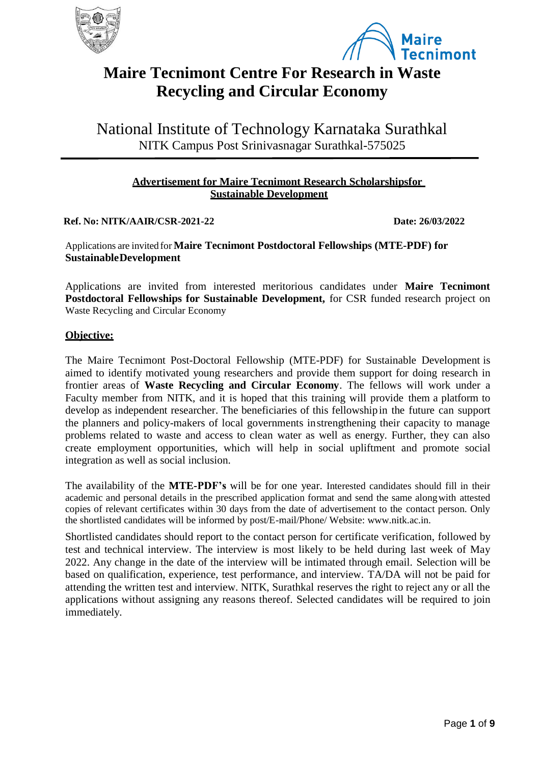



# **Maire Tecnimont Centre For Research in Waste Recycling and Circular Economy**

National Institute of Technology Karnataka Surathkal NITK Campus Post Srinivasnagar Surathkal-575025

## **Advertisement for Maire Tecnimont Research Scholarshipsfor Sustainable Development**

**Ref. No: NITK/AAIR/CSR-2021-22 Date: 26/03/2022**

Applications are invited for **Maire Tecnimont Postdoctoral Fellowships (MTE-PDF) for SustainableDevelopment**

Applications are invited from interested meritorious candidates under **Maire Tecnimont Postdoctoral Fellowships for Sustainable Development,** for CSR funded research project on Waste Recycling and Circular Economy

## **Objective:**

The Maire Tecnimont Post-Doctoral Fellowship (MTE-PDF) for Sustainable Development is aimed to identify motivated young researchers and provide them support for doing research in frontier areas of **Waste Recycling and Circular Economy**. The fellows will work under a Faculty member from NITK, and it is hoped that this training will provide them a platform to develop as independent researcher. The beneficiaries of this fellowshipin the future can support the planners and policy-makers of local governments instrengthening their capacity to manage problems related to waste and access to clean water as well as energy. Further, they can also create employment opportunities, which will help in social upliftment and promote social integration as well as social inclusion.

The availability of the **MTE-PDF's** will be for one year. Interested candidates should fill in their academic and personal details in the prescribed application format and send the same alongwith attested copies of relevant certificates within 30 days from the date of advertisement to the contact person. Only the shortlisted candidates will be informed by post/E-mail/Phone/ Website: [www.nitk.ac.in.](http://www.nitk.ac.in/)

Shortlisted candidates should report to the contact person for certificate verification, followed by test and technical interview. The interview is most likely to be held during last week of May 2022. Any change in the date of the interview will be intimated through email. Selection will be based on qualification, experience, test performance, and interview. TA/DA will not be paid for attending the written test and interview. NITK, Surathkal reserves the right to reject any or all the applications without assigning any reasons thereof. Selected candidates will be required to join immediately.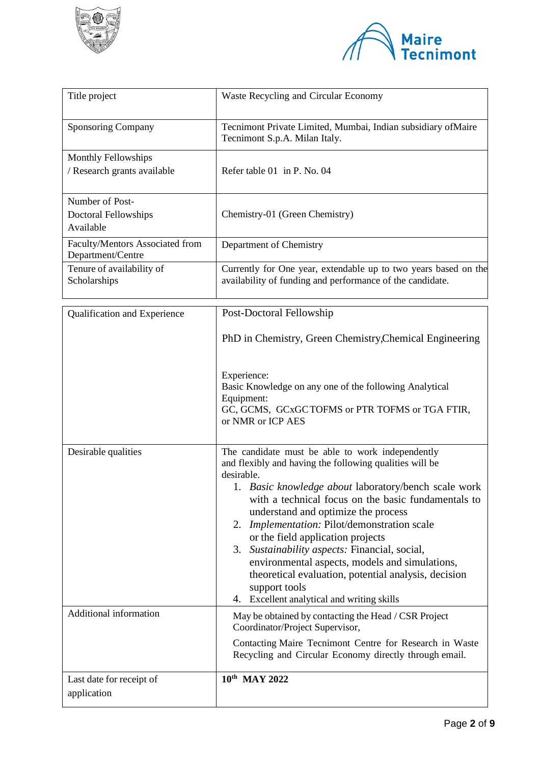



| Title project                                             | Waste Recycling and Circular Economy                                                                                                                                                                                                                                                                                                                                                                                                                                                                                                                                                                 |  |
|-----------------------------------------------------------|------------------------------------------------------------------------------------------------------------------------------------------------------------------------------------------------------------------------------------------------------------------------------------------------------------------------------------------------------------------------------------------------------------------------------------------------------------------------------------------------------------------------------------------------------------------------------------------------------|--|
| Sponsoring Company                                        | Tecnimont Private Limited, Mumbai, Indian subsidiary of Maire<br>Tecnimont S.p.A. Milan Italy.                                                                                                                                                                                                                                                                                                                                                                                                                                                                                                       |  |
| <b>Monthly Fellowships</b><br>/ Research grants available | Refer table 01 in P. No. 04                                                                                                                                                                                                                                                                                                                                                                                                                                                                                                                                                                          |  |
| Number of Post-<br>Doctoral Fellowships<br>Available      | Chemistry-01 (Green Chemistry)                                                                                                                                                                                                                                                                                                                                                                                                                                                                                                                                                                       |  |
| Faculty/Mentors Associated from<br>Department/Centre      | Department of Chemistry                                                                                                                                                                                                                                                                                                                                                                                                                                                                                                                                                                              |  |
| Tenure of availability of<br>Scholarships                 | Currently for One year, extendable up to two years based on the<br>availability of funding and performance of the candidate.                                                                                                                                                                                                                                                                                                                                                                                                                                                                         |  |
| Qualification and Experience                              | Post-Doctoral Fellowship                                                                                                                                                                                                                                                                                                                                                                                                                                                                                                                                                                             |  |
|                                                           | PhD in Chemistry, Green Chemistry, Chemical Engineering                                                                                                                                                                                                                                                                                                                                                                                                                                                                                                                                              |  |
|                                                           | Experience:<br>Basic Knowledge on any one of the following Analytical<br>Equipment:<br>GC, GCMS, GCxGCTOFMS or PTR TOFMS or TGA FTIR,<br>or NMR or ICP AES                                                                                                                                                                                                                                                                                                                                                                                                                                           |  |
| Desirable qualities                                       | The candidate must be able to work independently<br>and flexibly and having the following qualities will be<br>desirable.<br>1. Basic knowledge about laboratory/bench scale work<br>with a technical focus on the basic fundamentals to<br>understand and optimize the process<br>Implementation: Pilot/demonstration scale<br>2.<br>or the field application projects<br>3. Sustainability aspects: Financial, social,<br>environmental aspects, models and simulations,<br>theoretical evaluation, potential analysis, decision<br>support tools<br>Excellent analytical and writing skills<br>4. |  |
| Additional information                                    | May be obtained by contacting the Head / CSR Project<br>Coordinator/Project Supervisor,<br>Contacting Maire Tecnimont Centre for Research in Waste<br>Recycling and Circular Economy directly through email.                                                                                                                                                                                                                                                                                                                                                                                         |  |
| Last date for receipt of<br>application                   | 10 <sup>th</sup> MAY 2022                                                                                                                                                                                                                                                                                                                                                                                                                                                                                                                                                                            |  |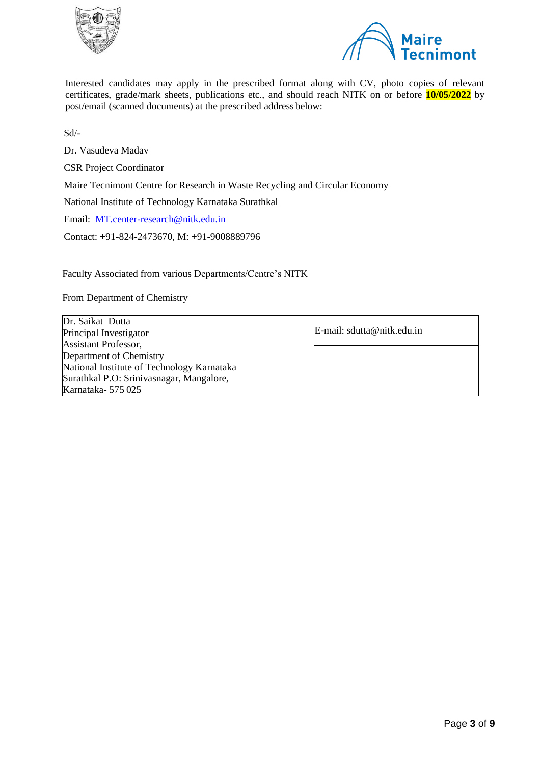



Interested candidates may apply in the prescribed format along with CV, photo copies of relevant certificates, grade/mark sheets, publications etc., and should reach NITK on or before **10/05/2022** by post/email (scanned documents) at the prescribed address below:

Sd/-

Dr. Vasudeva Madav

CSR Project Coordinator

Maire Tecnimont Centre for Research in Waste Recycling and Circular Economy

National Institute of Technology Karnataka Surathkal

Email: [MT.center-research@nitk.edu.in](mailto:MT.center-research@nitk.edu.in)

Contact: +91-824-2473670, M: +91-9008889796

Faculty Associated from various Departments/Centre's NITK

From Department of Chemistry

| Dr. Saikat Dutta                           |                               |
|--------------------------------------------|-------------------------------|
| Principal Investigator                     | $E$ -mail: sdutta@nitk.edu.in |
| <b>Assistant Professor,</b>                |                               |
| Department of Chemistry                    |                               |
| National Institute of Technology Karnataka |                               |
| Surathkal P.O: Srinivasnagar, Mangalore,   |                               |
| Karnataka-575025                           |                               |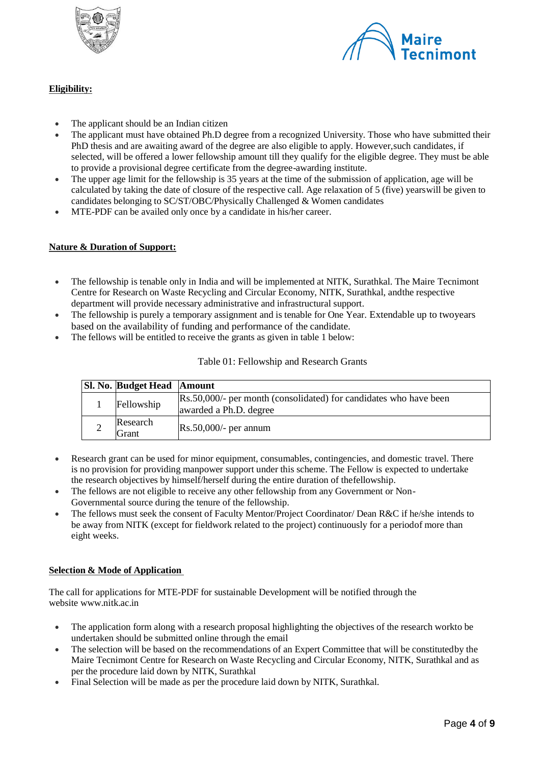



## **Eligibility:**

- The applicant should be an Indian citizen
- The applicant must have obtained Ph.D degree from a recognized University. Those who have submitted their PhD thesis and are awaiting award of the degree are also eligible to apply. However,such candidates, if selected, will be offered a lower fellowship amount till they qualify for the eligible degree. They must be able to provide a provisional degree certificate from the degree-awarding institute.
- The upper age limit for the fellowship is 35 years at the time of the submission of application, age will be calculated by taking the date of closure of the respective call. Age relaxation of 5 (five) yearswill be given to candidates belonging to SC/ST/OBC/Physically Challenged & Women candidates
- MTE-PDF can be availed only once by a candidate in his/her career.

### **Nature & Duration of Support:**

- The fellowship is tenable only in India and will be implemented at NITK, Surathkal. The Maire Tecnimont Centre for Research on Waste Recycling and Circular Economy, NITK, Surathkal, andthe respective department will provide necessary administrative and infrastructural support.
- The fellowship is purely a temporary assignment and is tenable for One Year. Extendable up to twoyears based on the availability of funding and performance of the candidate.
- The fellows will be entitled to receive the grants as given in table 1 below:

### Table 01: Fellowship and Research Grants

| <b>Sl. No. Budget Head Amount</b>                                                                         |  |
|-----------------------------------------------------------------------------------------------------------|--|
| Rs.50,000/- per month (consolidated) for candidates who have been<br>Fellowship<br>awarded a Ph.D. degree |  |
| Research<br>$Rs.50,000/$ - per annum<br>Grant                                                             |  |

- Research grant can be used for minor equipment, consumables, contingencies, and domestic travel. There is no provision for providing manpower support under this scheme. The Fellow is expected to undertake the research objectives by himself/herself during the entire duration of thefellowship.
- The fellows are not eligible to receive any other fellowship from any Government or Non-Governmental source during the tenure of the fellowship.
- The fellows must seek the consent of Faculty Mentor/Project Coordinator/ Dean R&C if he/she intends to be away from NITK (except for fieldwork related to the project) continuously for a periodof more than eight weeks.

### **Selection & Mode of Application**

The call for applications for MTE-PDF for sustainable Development will be notified through the website [www.nitk.ac.in](http://www.nitk.ac.in/)

- The application form along with a research proposal highlighting the objectives of the research workto be undertaken should be submitted online through the email
- The selection will be based on the recommendations of an Expert Committee that will be constitutedby the Maire Tecnimont Centre for Research on Waste Recycling and Circular Economy, NITK, Surathkal and as per the procedure laid down by NITK, Surathkal
- Final Selection will be made as per the procedure laid down by NITK, Surathkal.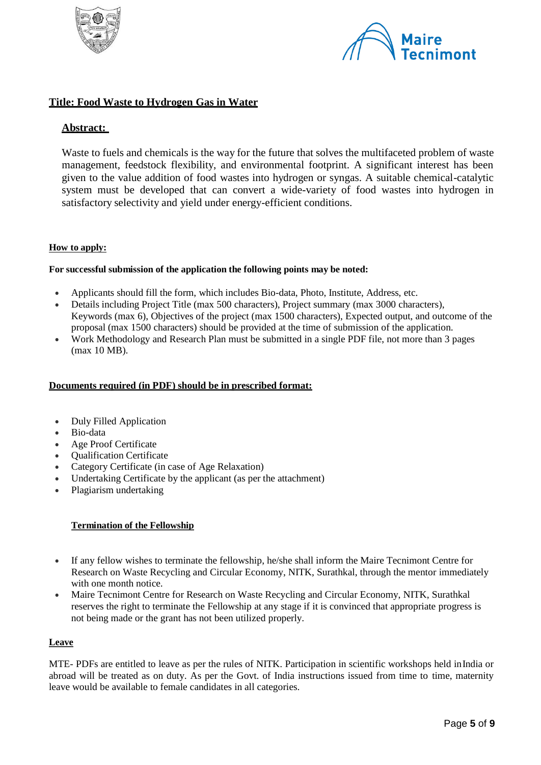



## **Title: Food Waste to Hydrogen Gas in Water**

## **Abstract:**

Waste to fuels and chemicals is the way for the future that solves the multifaceted problem of waste management, feedstock flexibility, and environmental footprint. A significant interest has been given to the value addition of food wastes into hydrogen or syngas. A suitable chemical-catalytic system must be developed that can convert a wide-variety of food wastes into hydrogen in satisfactory selectivity and yield under energy-efficient conditions.

### **How to apply:**

#### **For successful submission of the application the following points may be noted:**

- Applicants should fill the form, which includes Bio-data, Photo, Institute, Address, etc.
- Details including Project Title (max 500 characters), Project summary (max 3000 characters), Keywords (max 6), Objectives of the project (max 1500 characters), Expected output, and outcome of the proposal (max 1500 characters) should be provided at the time of submission of the application.
- Work Methodology and Research Plan must be submitted in a single PDF file, not more than 3 pages (max 10 MB).

#### **Documents required (in PDF) should be in prescribed format:**

- Duly Filled Application
- Bio-data
- Age Proof Certificate
- Qualification Certificate
- Category Certificate (in case of Age Relaxation)
- Undertaking Certificate by the applicant (as per the attachment)
- Plagiarism undertaking

### **Termination of the Fellowship**

- If any fellow wishes to terminate the fellowship, he/she shall inform the Maire Tecnimont Centre for Research on Waste Recycling and Circular Economy, NITK, Surathkal, through the mentor immediately with one month notice.
- Maire Tecnimont Centre for Research on Waste Recycling and Circular Economy, NITK, Surathkal reserves the right to terminate the Fellowship at any stage if it is convinced that appropriate progress is not being made or the grant has not been utilized properly.

#### **Leave**

MTE- PDFs are entitled to leave as per the rules of NITK. Participation in scientific workshops held inIndia or abroad will be treated as on duty. As per the Govt. of India instructions issued from time to time, maternity leave would be available to female candidates in all categories.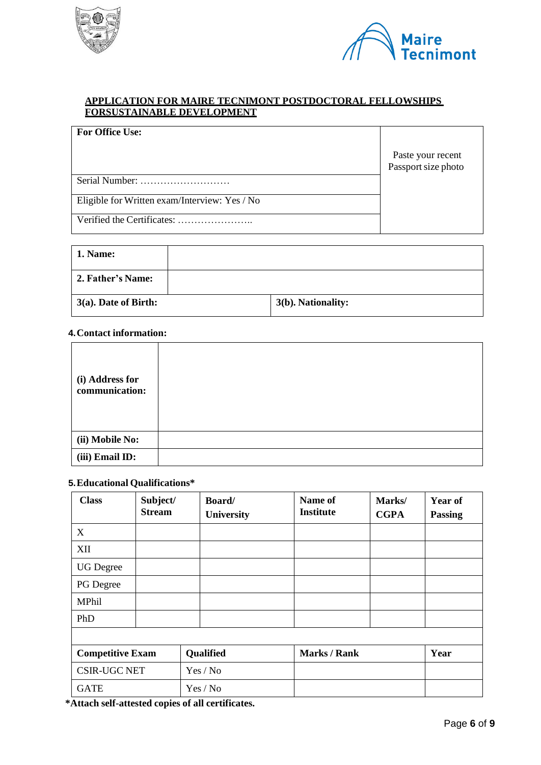



## **APPLICATION FOR MAIRE TECNIMONT POSTDOCTORAL FELLOWSHIPS FORSUSTAINABLE DEVELOPMENT**

| <b>For Office Use:</b>                        | Paste your recent   |
|-----------------------------------------------|---------------------|
|                                               | Passport size photo |
| Serial Number:                                |                     |
| Eligible for Written exam/Interview: Yes / No |                     |
|                                               |                     |

| 1. Name:             |                    |
|----------------------|--------------------|
| 2. Father's Name:    |                    |
| 3(a). Date of Birth: | 3(b). Nationality: |

## **4.Contact information:**

| (i) Address for<br>communication: |  |
|-----------------------------------|--|
| (ii) Mobile No:                   |  |
| (iii) Email ID:                   |  |

# **5.Educational Qualifications\***

| <b>Class</b>            | Subject/<br><b>Stream</b> | Board/<br><b>University</b> | Name of<br><b>Institute</b> | Marks/<br><b>CGPA</b> | <b>Year of</b><br><b>Passing</b> |
|-------------------------|---------------------------|-----------------------------|-----------------------------|-----------------------|----------------------------------|
| X                       |                           |                             |                             |                       |                                  |
| XII                     |                           |                             |                             |                       |                                  |
| <b>UG</b> Degree        |                           |                             |                             |                       |                                  |
| PG Degree               |                           |                             |                             |                       |                                  |
| MPhil                   |                           |                             |                             |                       |                                  |
| PhD                     |                           |                             |                             |                       |                                  |
|                         |                           |                             |                             |                       |                                  |
| <b>Competitive Exam</b> |                           | Qualified                   | <b>Marks / Rank</b>         |                       | Year                             |
| <b>CSIR-UGC NET</b>     |                           | Yes / No                    |                             |                       |                                  |
| <b>GATE</b>             |                           | Yes / No                    |                             |                       |                                  |

**\*Attach self-attested copies of all certificates.**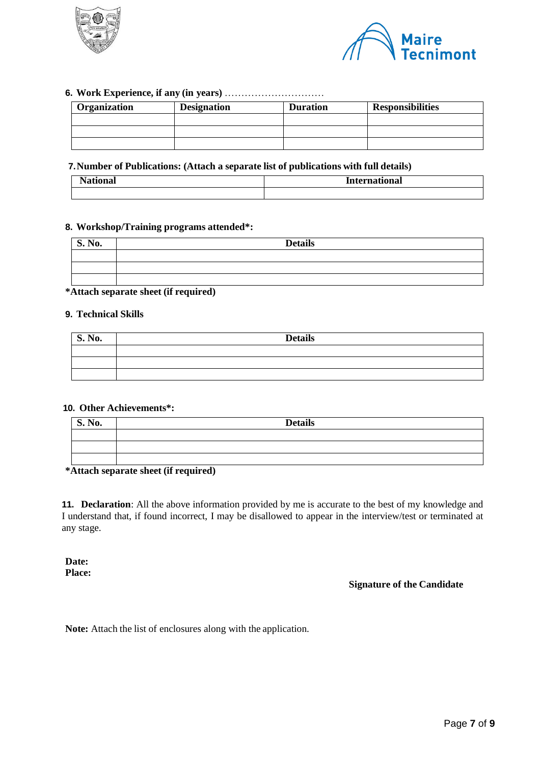



## **6. Work Experience, if any (in years)** …………………………

| Organization | <b>Designation</b> | <b>Duration</b> | <b>Responsibilities</b> |
|--------------|--------------------|-----------------|-------------------------|
|              |                    |                 |                         |
|              |                    |                 |                         |
|              |                    |                 |                         |

## **7.Number of Publications: (Attach a separate list of publications with full details)**

| . . | -amatiana'<br>l www.<br>чаг<br>. |  |
|-----|----------------------------------|--|
|     |                                  |  |

### **8. Workshop/Training programs attended\*:**

| $\overline{\mathbf{S}}$ . No. | <b>Details</b> |
|-------------------------------|----------------|
|                               |                |
|                               |                |
|                               |                |

## **\*Attach separate sheet (if required)**

#### **9. Technical Skills**

| <b>S. No.</b> | <b>Details</b> |
|---------------|----------------|
|               |                |
|               |                |
|               |                |

### **10. Other Achievements\*:**

| S. No. | <b>Details</b> |
|--------|----------------|
|        |                |
|        |                |
|        |                |

#### **\*Attach separate sheet (if required)**

**11. Declaration**: All the above information provided by me is accurate to the best of my knowledge and I understand that, if found incorrect, I may be disallowed to appear in the interview/test or terminated at any stage.

**Date: Place:**

## **Signature of the Candidate**

**Note:** Attach the list of enclosures along with the application.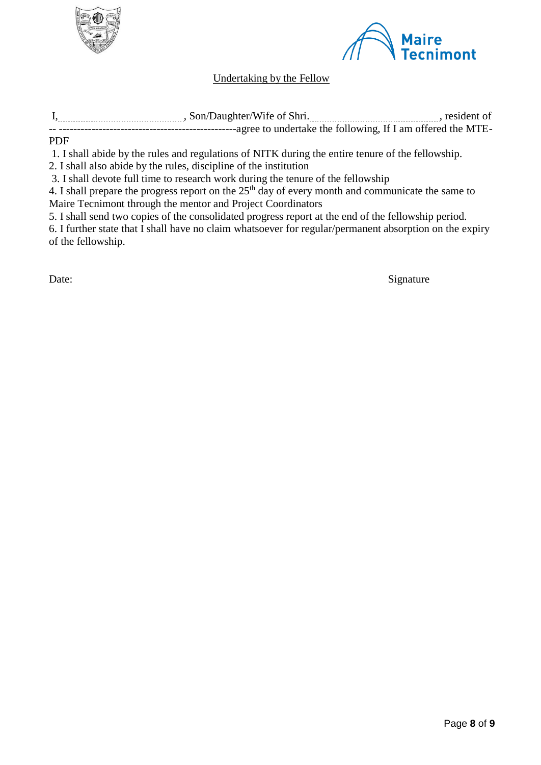



# Undertaking by the Fellow

| , Son/Daughter/Wife of Shri. | resident of |
|------------------------------|-------------|
|                              |             |
|                              |             |

## PDF

1. I shall abide by the rules and regulations of NITK during the entire tenure of the fellowship.

2. I shall also abide by the rules, discipline of the institution

3. I shall devote full time to research work during the tenure of the fellowship

4. I shall prepare the progress report on the  $25<sup>th</sup>$  day of every month and communicate the same to Maire Tecnimont through the mentor and Project Coordinators

5. I shall send two copies of the consolidated progress report at the end of the fellowship period.

6. I further state that I shall have no claim whatsoever for regular/permanent absorption on the expiry of the fellowship.

Date: Signature